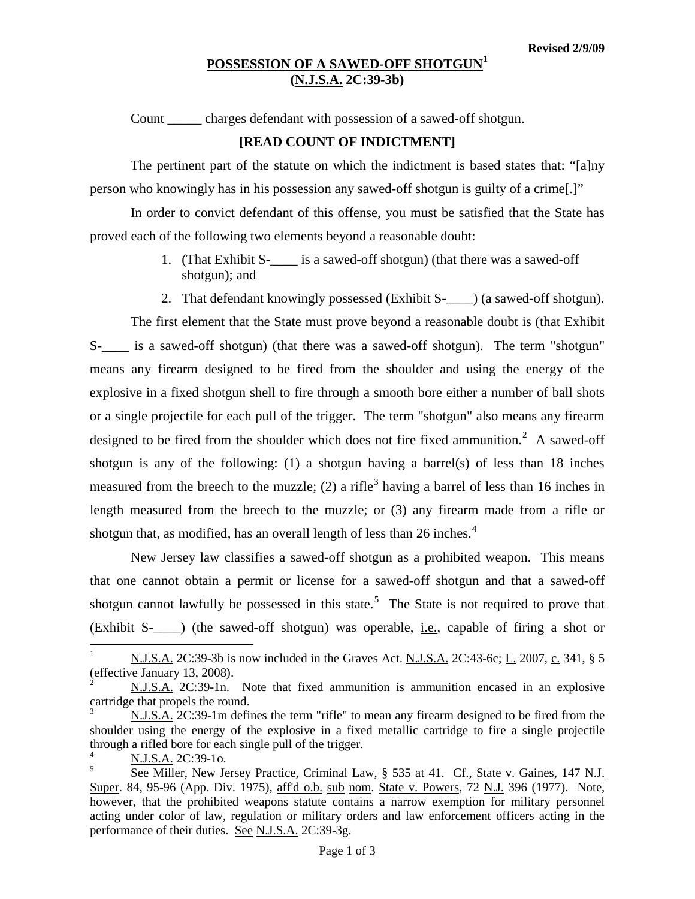## **POSSESSION OF A SAWED-OFF SHOTGUN[1](#page-2-0) (N.J.S.A. 2C:39-3b)**

Count \_\_\_\_\_ charges defendant with possession of a sawed-off shotgun.

## **[READ COUNT OF INDICTMENT]**

The pertinent part of the statute on which the indictment is based states that: "[a]ny person who knowingly has in his possession any sawed-off shotgun is guilty of a crime[.]"

In order to convict defendant of this offense, you must be satisfied that the State has proved each of the following two elements beyond a reasonable doubt:

- 1. (That Exhibit S-\_\_\_\_ is a sawed-off shotgun) (that there was a sawed-off shotgun); and
- 2. That defendant knowingly possessed (Exhibit S-\_\_\_\_) (a sawed-off shotgun).

The first element that the State must prove beyond a reasonable doubt is (that Exhibit S-\_\_\_\_ is a sawed-off shotgun) (that there was a sawed-off shotgun). The term "shotgun" means any firearm designed to be fired from the shoulder and using the energy of the explosive in a fixed shotgun shell to fire through a smooth bore either a number of ball shots or a single projectile for each pull of the trigger. The term "shotgun" also means any firearm designed to be fired from the shoulder which does not fire fixed ammunition.<sup>[2](#page-0-0)</sup> A sawed-off shotgun is any of the following: (1) a shotgun having a barrel(s) of less than 18 inches measured from the breech to the muzzle; (2) a rifle<sup>[3](#page-0-1)</sup> having a barrel of less than 16 inches in length measured from the breech to the muzzle; or (3) any firearm made from a rifle or shotgun that, as modified, has an overall length of less than  $26$  inches.<sup>[4](#page-0-2)</sup>

New Jersey law classifies a sawed-off shotgun as a prohibited weapon. This means that one cannot obtain a permit or license for a sawed-off shotgun and that a sawed-off shotgun cannot lawfully be possessed in this state.<sup>[5](#page-0-3)</sup> The State is not required to prove that (Exhibit S-\_\_\_) (the sawed-off shotgun) was operable, i.e., capable of firing a shot or

 <sup>1</sup> N.J.S.A. 2C:39-3b is now included in the Graves Act. N.J.S.A. 2C:43-6c; L. 2007, c. 341, § 5 (effective January 13, 2008).

<span id="page-0-0"></span>N.J.S.A. 2C:39-1n. Note that fixed ammunition is ammunition encased in an explosive cartridge that propels the round.

<span id="page-0-1"></span><sup>3</sup> N.J.S.A. 2C:39-1m defines the term "rifle" to mean any firearm designed to be fired from the shoulder using the energy of the explosive in a fixed metallic cartridge to fire a single projectile through a rifled bore for each single pull of the trigger.

<span id="page-0-4"></span><span id="page-0-3"></span><span id="page-0-2"></span> $\frac{N.I.S.A.}{S}$  2C:39-10.<br><sup>5</sup> See Miller, <u>New Jersey Practice, Criminal Law</u>, § 535 at 41. <u>Cf., State v. Gaines</u>, 147 N.J. Super. 84, 95-96 (App. Div. 1975), aff'd o.b. sub nom. State v. Powers, 72 N.J. 396 (1977). Note, however, that the prohibited weapons statute contains a narrow exemption for military personnel acting under color of law, regulation or military orders and law enforcement officers acting in the performance of their duties. See N.J.S.A. 2C:39-3g.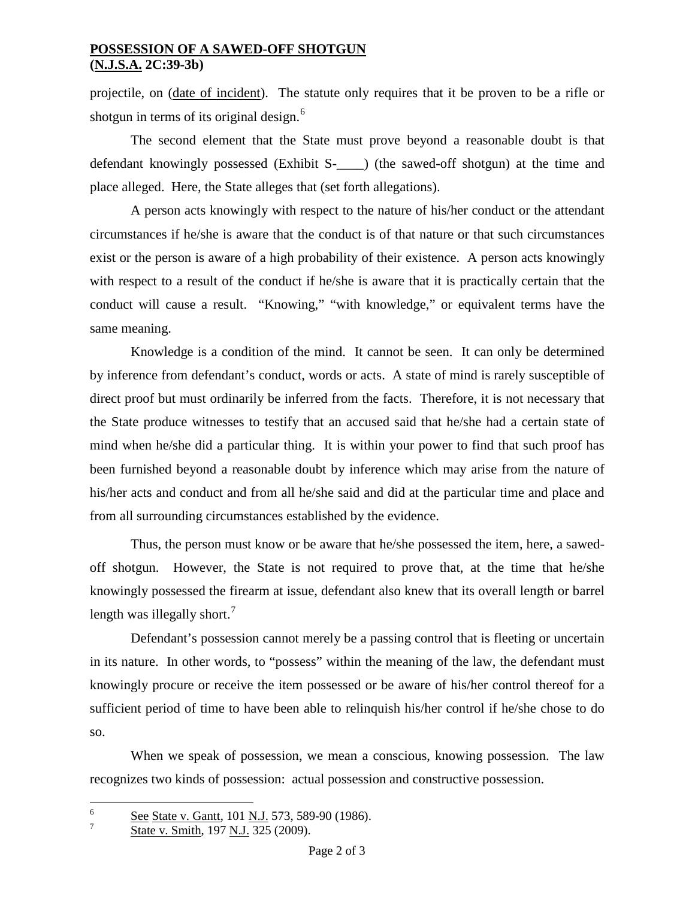## **POSSESSION OF A SAWED-OFF SHOTGUN (N.J.S.A. 2C:39-3b)**

projectile, on (date of incident). The statute only requires that it be proven to be a rifle or shotgun in terms of its original design.<sup>[6](#page-0-4)</sup>

The second element that the State must prove beyond a reasonable doubt is that defendant knowingly possessed (Exhibit S-\_\_\_\_) (the sawed-off shotgun) at the time and place alleged. Here, the State alleges that (set forth allegations).

A person acts knowingly with respect to the nature of his/her conduct or the attendant circumstances if he/she is aware that the conduct is of that nature or that such circumstances exist or the person is aware of a high probability of their existence. A person acts knowingly with respect to a result of the conduct if he/she is aware that it is practically certain that the conduct will cause a result. "Knowing," "with knowledge," or equivalent terms have the same meaning.

Knowledge is a condition of the mind. It cannot be seen. It can only be determined by inference from defendant's conduct, words or acts. A state of mind is rarely susceptible of direct proof but must ordinarily be inferred from the facts. Therefore, it is not necessary that the State produce witnesses to testify that an accused said that he/she had a certain state of mind when he/she did a particular thing. It is within your power to find that such proof has been furnished beyond a reasonable doubt by inference which may arise from the nature of his/her acts and conduct and from all he/she said and did at the particular time and place and from all surrounding circumstances established by the evidence.

Thus, the person must know or be aware that he/she possessed the item, here, a sawedoff shotgun. However, the State is not required to prove that, at the time that he/she knowingly possessed the firearm at issue, defendant also knew that its overall length or barrel length was illegally short.<sup>[7](#page-1-0)</sup>

Defendant's possession cannot merely be a passing control that is fleeting or uncertain in its nature. In other words, to "possess" within the meaning of the law, the defendant must knowingly procure or receive the item possessed or be aware of his/her control thereof for a sufficient period of time to have been able to relinquish his/her control if he/she chose to do so.

When we speak of possession, we mean a conscious, knowing possession. The law recognizes two kinds of possession: actual possession and constructive possession.

<span id="page-1-1"></span><span id="page-1-0"></span>See State v. Gantt, 101 N.J. 573, 589-90 (1986). 7

State v. Smith, 197 N.J. 325 (2009).